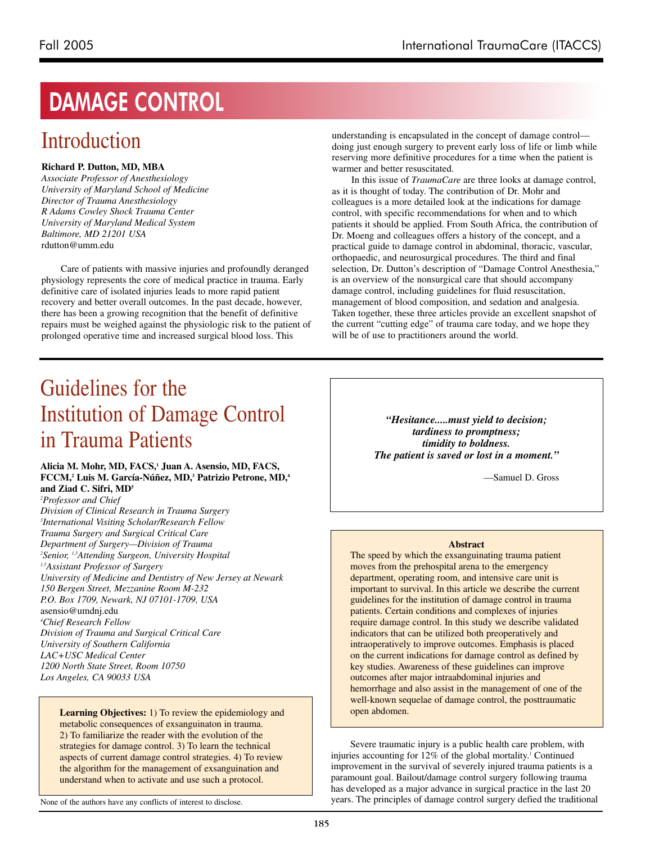# **DAMAGE CONTROL**

# Introduction

### **Richard P. Dutton, MD, MBA**

*Associate Professor of Anesthesiology University of Maryland School of Medicine Director of Trauma Anesthesiology R Adams Cowley Shock Trauma Center University of Maryland Medical System Baltimore, MD 21201 USA* rdutton@umm.edu

Care of patients with massive injuries and profoundly deranged physiology represents the core of medical practice in trauma. Early definitive care of isolated injuries leads to more rapid patient recovery and better overall outcomes. In the past decade, however, there has been a growing recognition that the benefit of definitive repairs must be weighed against the physiologic risk to the patient of prolonged operative time and increased surgical blood loss. This

understanding is encapsulated in the concept of damage control doing just enough surgery to prevent early loss of life or limb while reserving more definitive procedures for a time when the patient is warmer and better resuscitated.

In this issue of *TraumaCare* are three looks at damage control, as it is thought of today. The contribution of Dr. Mohr and colleagues is a more detailed look at the indications for damage control, with specific recommendations for when and to which patients it should be applied. From South Africa, the contribution of Dr. Moeng and colleagues offers a history of the concept, and a practical guide to damage control in abdominal, thoracic, vascular, orthopaedic, and neurosurgical procedures. The third and final selection, Dr. Dutton's description of "Damage Control Anesthesia," is an overview of the nonsurgical care that should accompany damage control, including guidelines for fluid resuscitation, management of blood composition, and sedation and analgesia. Taken together, these three articles provide an excellent snapshot of the current "cutting edge" of trauma care today, and we hope they will be of use to practitioners around the world.

# Guidelines for the Institution of Damage Control in Trauma Patients

#### **Alicia M. Mohr, MD, FACS,1 Juan A. Asensio, MD, FACS, FCCM,2 Luis M. García-Núñez, MD,3 Patrizio Petrone, MD,4 and Ziad C. Sifri, MD5**

*2 Professor and Chief Division of Clinical Research in Trauma Surgery 3 International Visiting Scholar/Research Fellow Trauma Surgery and Surgical Critical Care Department of Surgery—Division of Trauma 2 Senior, 1,5Attending Surgeon, University Hospital 1,5Assistant Professor of Surgery University of Medicine and Dentistry of New Jersey at Newark 150 Bergen Street, Mezzanine Room M-232 P.O. Box 1709, Newark, NJ 07101-1709, USA* asensio@umdnj.edu *4 Chief Research Fellow Division of Trauma and Surgical Critical Care University of Southern California LAC+USC Medical Center 1200 North State Street, Room 10750 Los Angeles, CA 90033 USA*

**Learning Objectives:** 1) To review the epidemiology and metabolic consequences of exsanguinaton in trauma. 2) To familiarize the reader with the evolution of the strategies for damage control. 3) To learn the technical aspects of current damage control strategies. 4) To review the algorithm for the management of exsanguination and understand when to activate and use such a protocol.

None of the authors have any conflicts of interest to disclose.

*"Hesitance.....must yield to decision; tardiness to promptness; timidity to boldness. The patient is saved or lost in a moment."*

—Samuel D. Gross

#### **Abstract**

The speed by which the exsanguinating trauma patient moves from the prehospital arena to the emergency department, operating room, and intensive care unit is important to survival. In this article we describe the current guidelines for the institution of damage control in trauma patients. Certain conditions and complexes of injuries require damage control. In this study we describe validated indicators that can be utilized both preoperatively and intraoperatively to improve outcomes. Emphasis is placed on the current indications for damage control as defined by key studies. Awareness of these guidelines can improve outcomes after major intraabdominal injuries and hemorrhage and also assist in the management of one of the well-known sequelae of damage control, the posttraumatic open abdomen.

Severe traumatic injury is a public health care problem, with injuries accounting for 12% of the global mortality. <sup>1</sup> Continued improvement in the survival of severely injured trauma patients is a paramount goal. Bailout/damage control surgery following trauma has developed as a major advance in surgical practice in the last 20 years. The principles of damage control surgery defied the traditional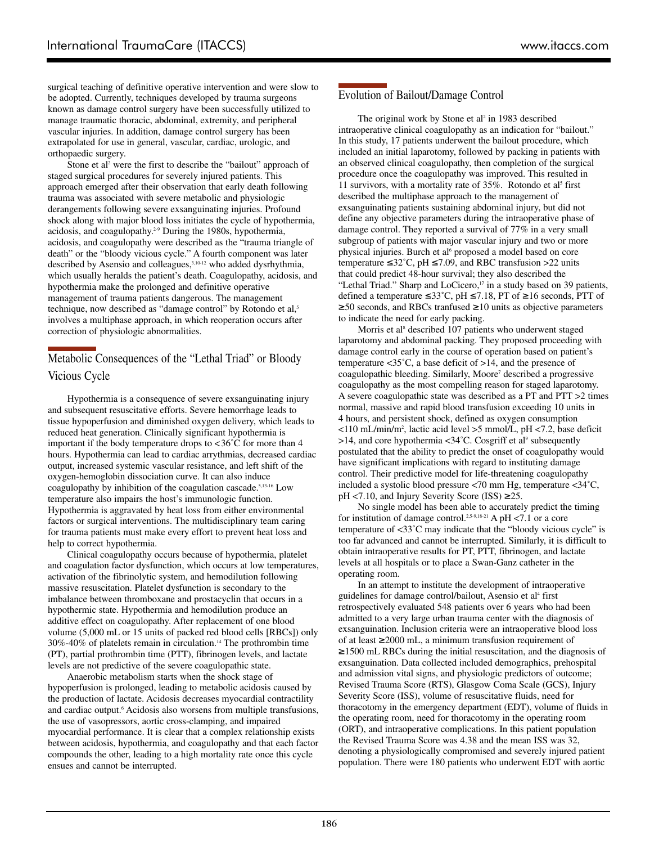surgical teaching of definitive operative intervention and were slow to be adopted. Currently, techniques developed by trauma surgeons known as damage control surgery have been successfully utilized to manage traumatic thoracic, abdominal, extremity, and peripheral vascular injuries. In addition, damage control surgery has been extrapolated for use in general, vascular, cardiac, urologic, and orthopaedic surgery.

Stone et al<sup>2</sup> were the first to describe the "bailout" approach of staged surgical procedures for severely injured patients. This approach emerged after their observation that early death following trauma was associated with severe metabolic and physiologic derangements following severe exsanguinating injuries. Profound shock along with major blood loss initiates the cycle of hypothermia, acidosis, and coagulopathy.2-9 During the 1980s, hypothermia, acidosis, and coagulopathy were described as the "trauma triangle of death" or the "bloody vicious cycle." A fourth component was later described by Asensio and colleagues,<sup>3,10-12</sup> who added dysrhythmia, which usually heralds the patient's death. Coagulopathy, acidosis, and hypothermia make the prolonged and definitive operative management of trauma patients dangerous. The management technique, now described as "damage control" by Rotondo et al,<sup>5</sup> involves a multiphase approach, in which reoperation occurs after correction of physiologic abnormalities.

## Metabolic Consequences of the "Lethal Triad" or Bloody Vicious Cycle

Hypothermia is a consequence of severe exsanguinating injury and subsequent resuscitative efforts. Severe hemorrhage leads to tissue hypoperfusion and diminished oxygen delivery, which leads to reduced heat generation. Clinically significant hypothermia is important if the body temperature drops to <36˚C for more than 4 hours. Hypothermia can lead to cardiac arrythmias, decreased cardiac output, increased systemic vascular resistance, and left shift of the oxygen-hemoglobin dissociation curve. It can also induce coagulopathy by inhibition of the coagulation cascade.<sup>5,13-16</sup> Low temperature also impairs the host's immunologic function. Hypothermia is aggravated by heat loss from either environmental factors or surgical interventions. The multidisciplinary team caring for trauma patients must make every effort to prevent heat loss and help to correct hypothermia.

Clinical coagulopathy occurs because of hypothermia, platelet and coagulation factor dysfunction, which occurs at low temperatures, activation of the fibrinolytic system, and hemodilution following massive resuscitation. Platelet dysfunction is secondary to the imbalance between thromboxane and prostacyclin that occurs in a hypothermic state. Hypothermia and hemodilution produce an additive effect on coagulopathy. After replacement of one blood volume (5,000 mL or 15 units of packed red blood cells [RBCs]) only 30%-40% of platelets remain in circulation.14 The prothrombin time (PT), partial prothrombin time (PTT), fibrinogen levels, and lactate levels are not predictive of the severe coagulopathic state.

Anaerobic metabolism starts when the shock stage of hypoperfusion is prolonged, leading to metabolic acidosis caused by the production of lactate. Acidosis decreases myocardial contractility and cardiac output.<sup>6</sup> Acidosis also worsens from multiple transfusions, the use of vasopressors, aortic cross-clamping, and impaired myocardial performance. It is clear that a complex relationship exists between acidosis, hypothermia, and coagulopathy and that each factor compounds the other, leading to a high mortality rate once this cycle ensues and cannot be interrupted.

# Evolution of Bailout/Damage Control

The original work by Stone et al<sup>2</sup> in 1983 described intraoperative clinical coagulopathy as an indication for "bailout." In this study, 17 patients underwent the bailout procedure, which included an initial laparotomy, followed by packing in patients with an observed clinical coagulopathy, then completion of the surgical procedure once the coagulopathy was improved. This resulted in 11 survivors, with a mortality rate of  $35\%$ . Rotondo et al<sup>5</sup> first described the multiphase approach to the management of exsanguinating patients sustaining abdominal injury, but did not define any objective parameters during the intraoperative phase of damage control. They reported a survival of 77% in a very small subgroup of patients with major vascular injury and two or more physical injuries. Burch et al<sup>6</sup> proposed a model based on core temperature  $\leq 32^{\circ}$ C, pH  $\leq 7.09$ , and RBC transfusion  $>22$  units that could predict 48-hour survival; they also described the "Lethal Triad." Sharp and LoCicero,<sup>17</sup> in a study based on 39 patients, defined a temperature ≤33˚C, pH ≤7.18, PT of ≥16 seconds, PTT of ≥50 seconds, and RBCs tranfused ≥10 units as objective parameters to indicate the need for early packing.

Morris et al<sup>8</sup> described 107 patients who underwent staged laparotomy and abdominal packing. They proposed proceeding with damage control early in the course of operation based on patient's temperature <35˚C, a base deficit of >14, and the presence of coagulopathic bleeding. Similarly, Moore<sup>7</sup> described a progressive coagulopathy as the most compelling reason for staged laparotomy. A severe coagulopathic state was described as a PT and PTT >2 times normal, massive and rapid blood transfusion exceeding 10 units in 4 hours, and persistent shock, defined as oxygen consumption <110 mL/min/m2 , lactic acid level >5 mmol/L, pH <7.2, base deficit  $>14$ , and core hypothermia <34°C. Cosgriff et al<sup>9</sup> subsequently postulated that the ability to predict the onset of coagulopathy would have significant implications with regard to instituting damage control. Their predictive model for life-threatening coagulopathy included a systolic blood pressure <70 mm Hg, temperature <34˚C, pH <7.10, and Injury Severity Score (ISS) ≥25.

No single model has been able to accurately predict the timing for institution of damage control.<sup>2,5-9,18-21</sup> A pH <7.1 or a core temperature of <33˚C may indicate that the "bloody vicious cycle" is too far advanced and cannot be interrupted. Similarly, it is difficult to obtain intraoperative results for PT, PTT, fibrinogen, and lactate levels at all hospitals or to place a Swan-Ganz catheter in the operating room.

In an attempt to institute the development of intraoperative guidelines for damage control/bailout, Asensio et al<sup>4</sup> first retrospectively evaluated 548 patients over 6 years who had been admitted to a very large urban trauma center with the diagnosis of exsanguination. Inclusion criteria were an intraoperative blood loss of at least ≥2000 mL, a minimum transfusion requirement of ≥1500 mL RBCs during the initial resuscitation, and the diagnosis of exsanguination. Data collected included demographics, prehospital and admission vital signs, and physiologic predictors of outcome; Revised Trauma Score (RTS), Glasgow Coma Scale (GCS), Injury Severity Score (ISS), volume of resuscitative fluids, need for thoracotomy in the emergency department (EDT), volume of fluids in the operating room, need for thoracotomy in the operating room (ORT), and intraoperative complications. In this patient population the Revised Trauma Score was 4.38 and the mean ISS was 32, denoting a physiologically compromised and severely injured patient population. There were 180 patients who underwent EDT with aortic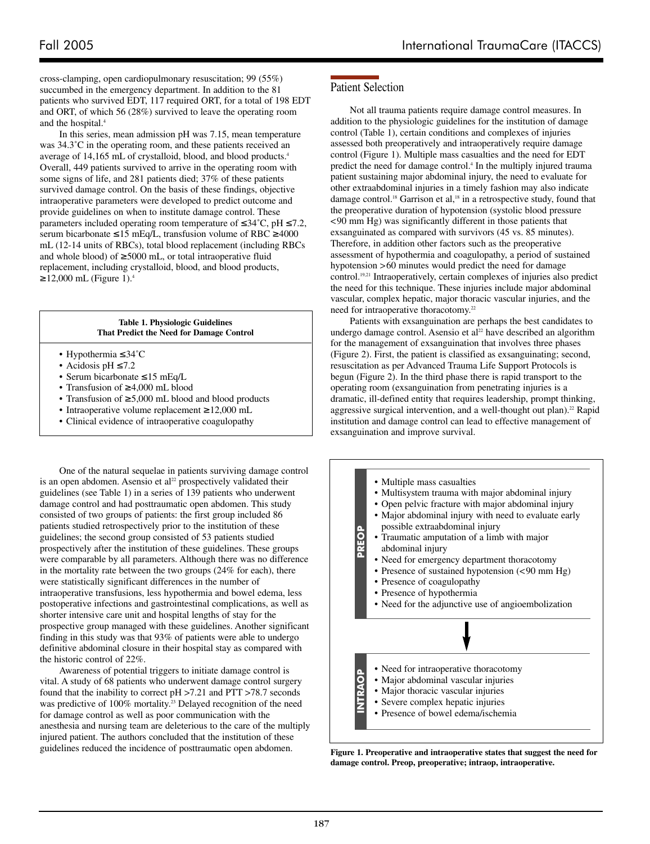cross-clamping, open cardiopulmonary resuscitation; 99 (55%) succumbed in the emergency department. In addition to the 81 patients who survived EDT, 117 required ORT, for a total of 198 EDT and ORT, of which 56 (28%) survived to leave the operating room and the hospital.4

In this series, mean admission pH was 7.15, mean temperature was 34.3˚C in the operating room, and these patients received an average of 14,165 mL of crystalloid, blood, and blood products.4 Overall, 449 patients survived to arrive in the operating room with some signs of life, and 281 patients died; 37% of these patients survived damage control. On the basis of these findings, objective intraoperative parameters were developed to predict outcome and provide guidelines on when to institute damage control. These parameters included operating room temperature of  $\leq 34^{\circ}$ C, pH  $\leq 7.2$ , serum bicarbonate ≤15 mEq/L, transfusion volume of RBC ≥4000 mL (12-14 units of RBCs), total blood replacement (including RBCs and whole blood) of  $\geq$ 5000 mL, or total intraoperative fluid replacement, including crystalloid, blood, and blood products,  $≥12,000$  mL (Figure 1).<sup>4</sup>

> **Table 1. Physiologic Guidelines That Predict the Need for Damage Control**

- Hypothermia ≤34˚C
- Acidosis pH ≤7.2
- Serum bicarbonate ≤15 mEq/L
- Transfusion of ≥4,000 mL blood
- Transfusion of ≥5,000 mL blood and blood products
- Intraoperative volume replacement ≥12,000 mL
- Clinical evidence of intraoperative coagulopathy

One of the natural sequelae in patients surviving damage control is an open abdomen. Asensio et al<sup>22</sup> prospectively validated their guidelines (see Table 1) in a series of 139 patients who underwent damage control and had posttraumatic open abdomen. This study consisted of two groups of patients: the first group included 86 patients studied retrospectively prior to the institution of these guidelines; the second group consisted of 53 patients studied prospectively after the institution of these guidelines. These groups were comparable by all parameters. Although there was no difference in the mortality rate between the two groups (24% for each), there were statistically significant differences in the number of intraoperative transfusions, less hypothermia and bowel edema, less postoperative infections and gastrointestinal complications, as well as shorter intensive care unit and hospital lengths of stay for the prospective group managed with these guidelines. Another significant finding in this study was that 93% of patients were able to undergo definitive abdominal closure in their hospital stay as compared with the historic control of 22%.

Awareness of potential triggers to initiate damage control is vital. A study of 68 patients who underwent damage control surgery found that the inability to correct pH >7.21 and PTT >78.7 seconds was predictive of 100% mortality.<sup>23</sup> Delayed recognition of the need for damage control as well as poor communication with the anesthesia and nursing team are deleterious to the care of the multiply injured patient. The authors concluded that the institution of these guidelines reduced the incidence of posttraumatic open abdomen.

## Patient Selection

Not all trauma patients require damage control measures. In addition to the physiologic guidelines for the institution of damage control (Table 1), certain conditions and complexes of injuries assessed both preoperatively and intraoperatively require damage control (Figure 1). Multiple mass casualties and the need for EDT predict the need for damage control.4 In the multiply injured trauma patient sustaining major abdominal injury, the need to evaluate for other extraabdominal injuries in a timely fashion may also indicate damage control.<sup>18</sup> Garrison et al,<sup>18</sup> in a retrospective study, found that the preoperative duration of hypotension (systolic blood pressure <90 mm Hg) was significantly different in those patients that exsanguinated as compared with survivors (45 vs. 85 minutes). Therefore, in addition other factors such as the preoperative assessment of hypothermia and coagulopathy, a period of sustained hypotension >60 minutes would predict the need for damage control.19,21 Intraoperatively, certain complexes of injuries also predict the need for this technique. These injuries include major abdominal vascular, complex hepatic, major thoracic vascular injuries, and the need for intraoperative thoracotomy.<sup>22</sup>

Patients with exsanguination are perhaps the best candidates to undergo damage control. Asensio et al<sup>22</sup> have described an algorithm for the management of exsanguination that involves three phases (Figure 2). First, the patient is classified as exsanguinating; second, resuscitation as per Advanced Trauma Life Support Protocols is begun (Figure 2). In the third phase there is rapid transport to the operating room (exsanguination from penetrating injuries is a dramatic, ill-defined entity that requires leadership, prompt thinking, aggressive surgical intervention, and a well-thought out plan).<sup>22</sup> Rapid institution and damage control can lead to effective management of exsanguination and improve survival.



**Figure 1. Preoperative and intraoperative states that suggest the need for damage control. Preop, preoperative; intraop, intraoperative.**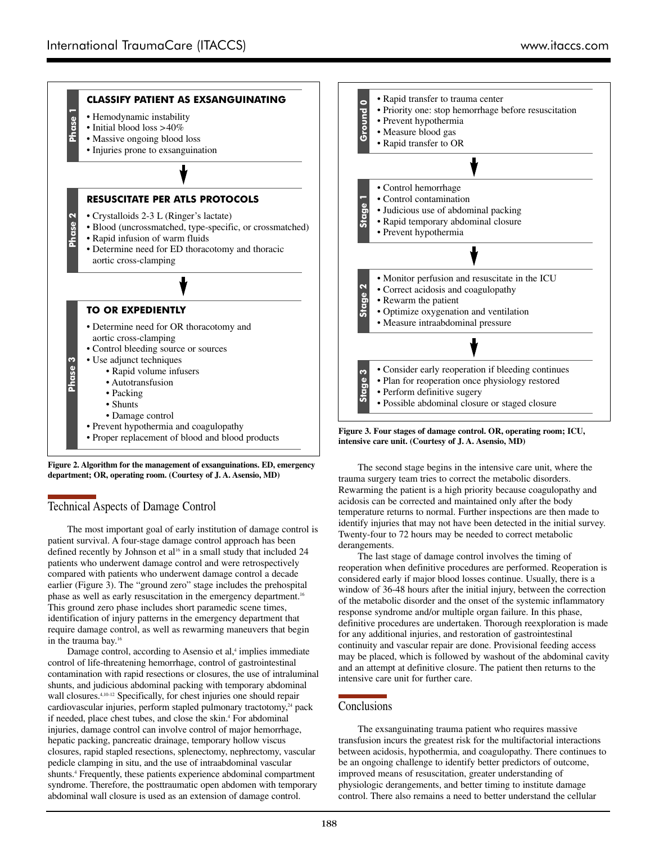

**Figure 2. Algorithm for the management of exsanguinations. ED, emergency department; OR, operating room. (Courtesy of J. A. Asensio, MD)**

## Technical Aspects of Damage Control

The most important goal of early institution of damage control is patient survival. A four-stage damage control approach has been defined recently by Johnson et al<sup>16</sup> in a small study that included 24 patients who underwent damage control and were retrospectively compared with patients who underwent damage control a decade earlier (Figure 3). The "ground zero" stage includes the prehospital phase as well as early resuscitation in the emergency department.16 This ground zero phase includes short paramedic scene times, identification of injury patterns in the emergency department that require damage control, as well as rewarming maneuvers that begin in the trauma bay.16

Damage control, according to Asensio et al,<sup>4</sup> implies immediate control of life-threatening hemorrhage, control of gastrointestinal contamination with rapid resections or closures, the use of intraluminal shunts, and judicious abdominal packing with temporary abdominal wall closures.<sup>4,10-12</sup> Specifically, for chest injuries one should repair cardiovascular injuries, perform stapled pulmonary tractotomy,<sup>24</sup> pack if needed, place chest tubes, and close the skin.<sup>4</sup> For abdominal injuries, damage control can involve control of major hemorrhage, hepatic packing, pancreatic drainage, temporary hollow viscus closures, rapid stapled resections, splenectomy, nephrectomy, vascular pedicle clamping in situ, and the use of intraabdominal vascular shunts.<sup>4</sup> Frequently, these patients experience abdominal compartment syndrome. Therefore, the posttraumatic open abdomen with temporary abdominal wall closure is used as an extension of damage control.

The second stage begins in the intensive care unit, where the trauma surgery team tries to correct the metabolic disorders. Rewarming the patient is a high priority because coagulopathy and acidosis can be corrected and maintained only after the body temperature returns to normal. Further inspections are then made to identify injuries that may not have been detected in the initial survey. Twenty-four to 72 hours may be needed to correct metabolic derangements.

The last stage of damage control involves the timing of reoperation when definitive procedures are performed. Reoperation is considered early if major blood losses continue. Usually, there is a window of 36-48 hours after the initial injury, between the correction of the metabolic disorder and the onset of the systemic inflammatory response syndrome and/or multiple organ failure. In this phase, definitive procedures are undertaken. Thorough reexploration is made for any additional injuries, and restoration of gastrointestinal continuity and vascular repair are done. Provisional feeding access may be placed, which is followed by washout of the abdominal cavity and an attempt at definitive closure. The patient then returns to the intensive care unit for further care.

### **Conclusions**

The exsanguinating trauma patient who requires massive transfusion incurs the greatest risk for the multifactorial interactions between acidosis, hypothermia, and coagulopathy. There continues to be an ongoing challenge to identify better predictors of outcome, improved means of resuscitation, greater understanding of physiologic derangements, and better timing to institute damage control. There also remains a need to better understand the cellular